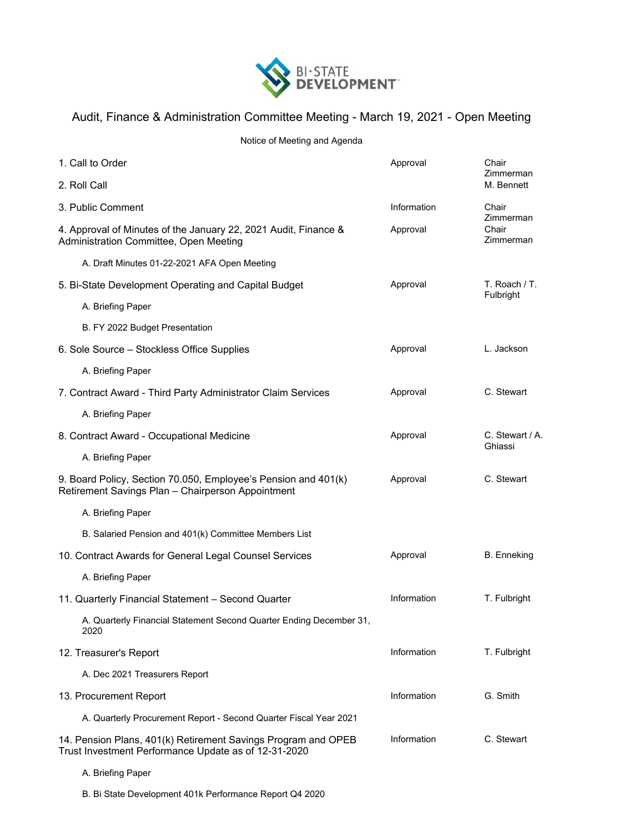

## Audit, Finance & Administration Committee Meeting - March 19, 2021 - Open Meeting

Notice of Meeting and Agenda

| 1. Call to Order                                                                                                      | Approval    | Chair<br>Zimmerman<br>M. Bennett         |
|-----------------------------------------------------------------------------------------------------------------------|-------------|------------------------------------------|
| 2. Roll Call                                                                                                          |             |                                          |
| 3. Public Comment                                                                                                     | Information | Chair<br>Zimmerman<br>Chair<br>Zimmerman |
| 4. Approval of Minutes of the January 22, 2021 Audit, Finance &<br>Administration Committee, Open Meeting             | Approval    |                                          |
| A. Draft Minutes 01-22-2021 AFA Open Meeting                                                                          |             |                                          |
| 5. Bi-State Development Operating and Capital Budget                                                                  | Approval    | T. Roach / T.<br>Fulbright               |
| A. Briefing Paper                                                                                                     |             |                                          |
| B. FY 2022 Budget Presentation                                                                                        |             |                                          |
| 6. Sole Source - Stockless Office Supplies                                                                            | Approval    | L. Jackson                               |
| A. Briefing Paper                                                                                                     |             |                                          |
| 7. Contract Award - Third Party Administrator Claim Services                                                          | Approval    | C. Stewart                               |
| A. Briefing Paper                                                                                                     |             |                                          |
| 8. Contract Award - Occupational Medicine                                                                             | Approval    | C. Stewart / A.<br>Ghiassi               |
| A. Briefing Paper                                                                                                     |             |                                          |
| 9. Board Policy, Section 70.050, Employee's Pension and 401(k)<br>Retirement Savings Plan - Chairperson Appointment   | Approval    | C. Stewart                               |
| A. Briefing Paper                                                                                                     |             |                                          |
| B. Salaried Pension and 401(k) Committee Members List                                                                 |             |                                          |
| 10. Contract Awards for General Legal Counsel Services                                                                | Approval    | <b>B.</b> Enneking                       |
| A. Briefing Paper                                                                                                     |             |                                          |
| 11. Quarterly Financial Statement - Second Quarter                                                                    | Information | T. Fulbright                             |
| A. Quarterly Financial Statement Second Quarter Ending December 31,<br>2020                                           |             |                                          |
| 12. Treasurer's Report                                                                                                | Information | T. Fulbright                             |
| A. Dec 2021 Treasurers Report                                                                                         |             |                                          |
| 13. Procurement Report                                                                                                | Information | G. Smith                                 |
| A. Quarterly Procurement Report - Second Quarter Fiscal Year 2021                                                     |             |                                          |
| 14. Pension Plans, 401(k) Retirement Savings Program and OPEB<br>Trust Investment Performance Update as of 12-31-2020 | Information | C. Stewart                               |
| A. Briefing Paper                                                                                                     |             |                                          |

B. Bi State Development 401k Performance Report Q4 2020